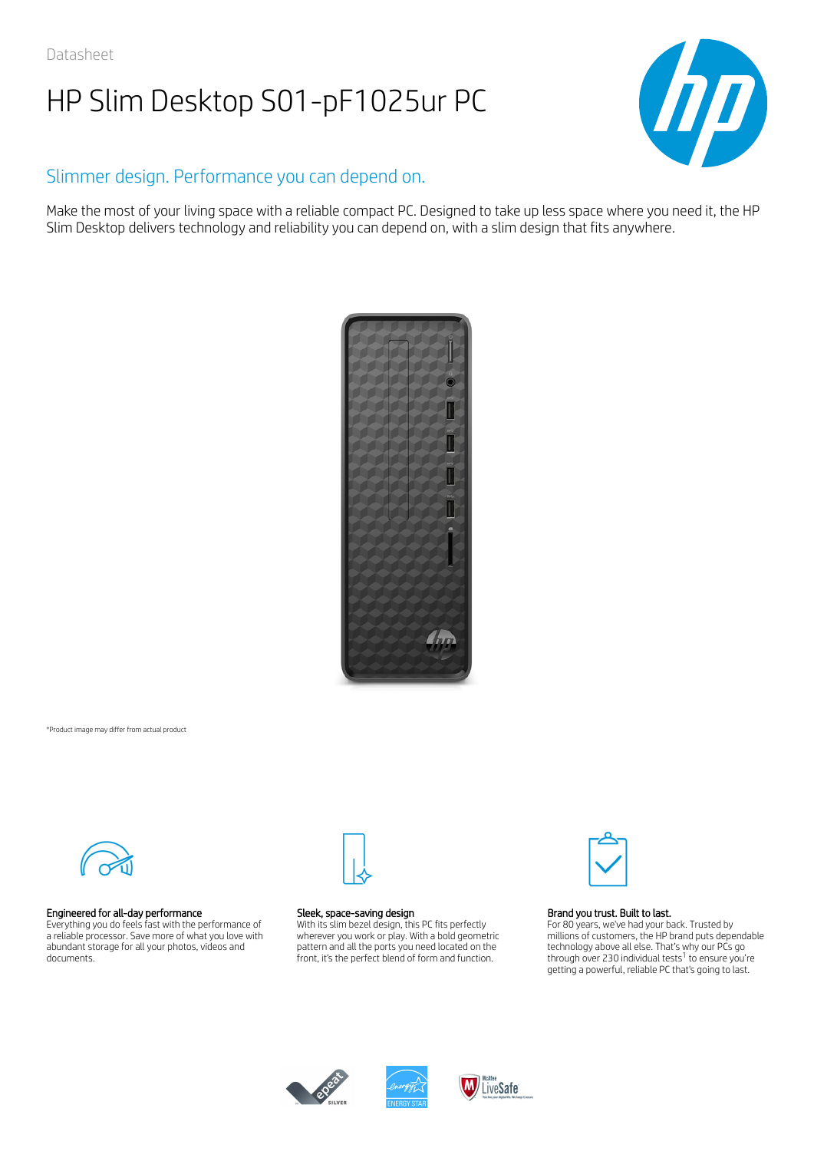

# Slimmer design. Performance you can depend on.

Make the most of your living space with a reliable compact PC. Designed to take up less space where you need it, the HP Slim Desktop delivers technology and reliability you can depend on, with a slim design that fits anywhere.



#### \*Product image may differ from actual product



### Engineered for all-day performance

Everything you do feels fast with the performance of a reliable processor. Save more of what you love with abundant storage for all your photos, videos and documents.



#### Sleek, space-saving design

With its slim bezel design, this PC fits perfectly wherever you work or play. With a bold geometric pattern and all the ports you need located on the front, it's the perfect blend of form and function.



#### Brand you trust. Built to last.

For 80 years, we've had your back. Trusted by millions of customers, the HP brand puts dependable technology above all else. That's why our PCs go through over 230 individual tests $^1$  to ensure you're getting a powerful, reliable PC that's going to last.



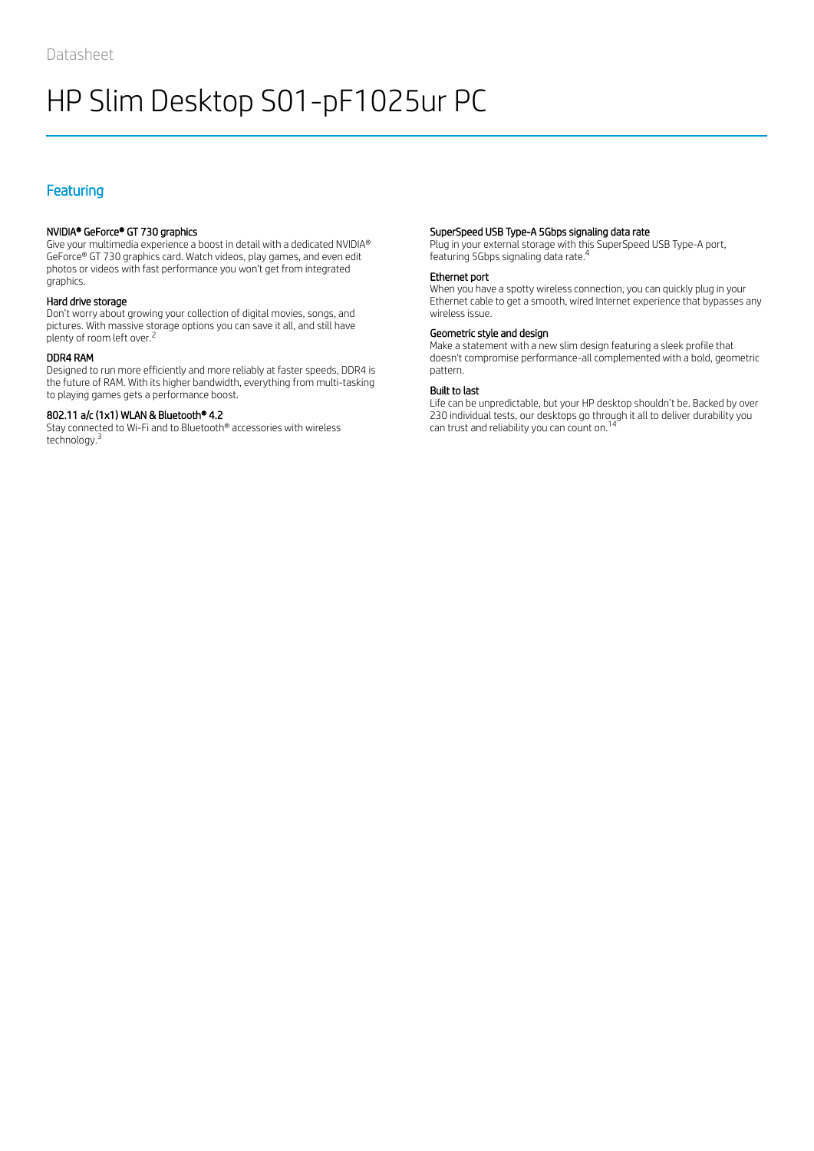# Featuring

# NVIDIA® GeForce® GT 730 graphics

Give your multimedia experience a boost in detail with a dedicated NVIDIA® GeForce® GT 730 graphics card. Watch videos, play games, and even edit photos or videos with fast performance you won't get from integrated graphics.

# Hard drive storage

Don't worry about growing your collection of digital movies, songs, and pictures. With massive storage options you can save it all, and still have plenty of room left over.<sup>2</sup>

# DDR4 RAM

Designed to run more efficiently and more reliably at faster speeds, DDR4 is the future of RAM. With its higher bandwidth, everything from multi-tasking to playing games gets a performance boost.

# 802.11 a/c (1x1) WLAN & Bluetooth® 4.2

Stay connected to Wi-Fi and to Bluetooth® accessories with wireless technology. 3

# SuperSpeed USB Type-A 5Gbps signaling data rate

Plug in your external storage with this SuperSpeed USB Type-A port, featuring 5Gbps signaling data rate. 4

### Ethernet port

When you have a spotty wireless connection, you can quickly plug in your Ethernet cable to get a smooth, wired Internet experience that bypasses any wireless issue.

#### Geometric style and design

Make a statement with a new slim design featuring a sleek profile that doesn't compromise performance-all complemented with a bold, geometric pattern.

#### Built to last

Life can be unpredictable, but your HP desktop shouldn't be. Backed by over 230 individual tests, our desktops go through it all to deliver durability you can trust and reliability you can count on.<sup>14</sup>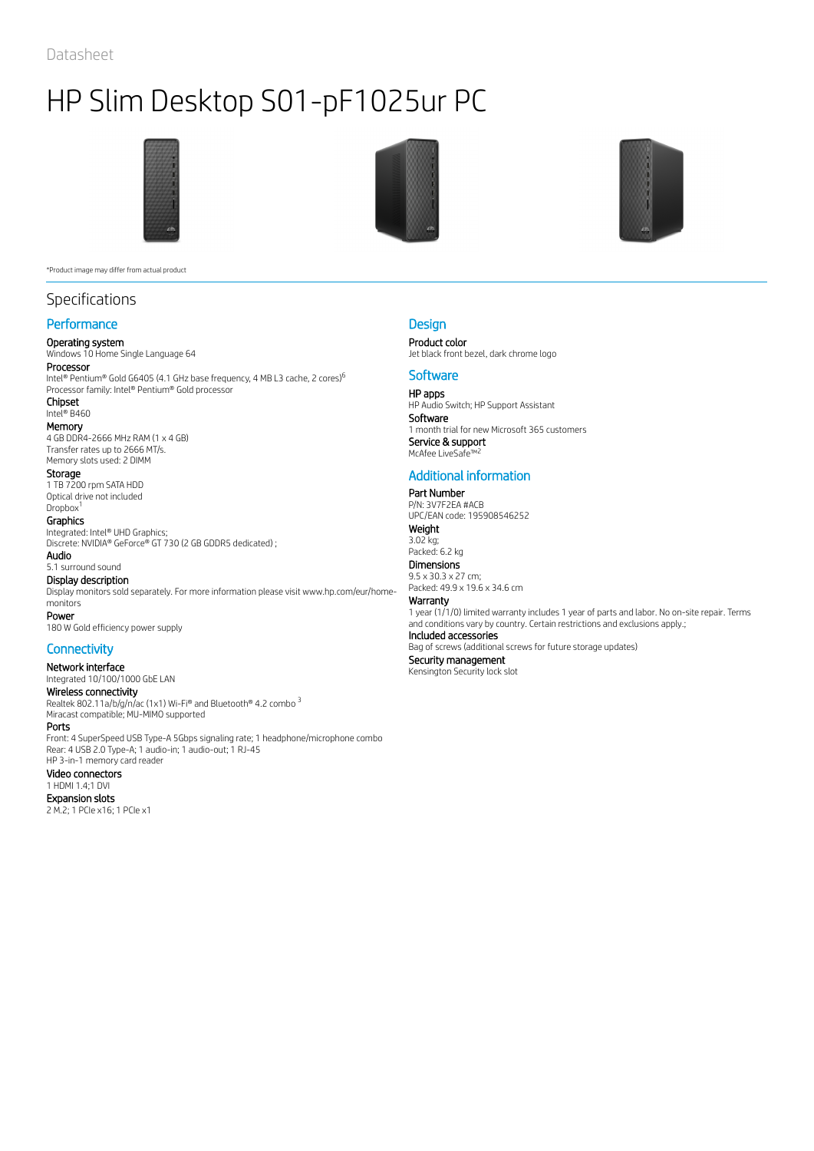

\*Product image may differ from actual product

# Specifications

# **Performance**

Operating system Windows 10 Home Single Language 64

# Processor

Intel® Pentium® Gold G6405 (4.1 GHz base frequency, 4 MB L3 cache, 2 cores) 6 Processor family: Intel® Pentium® Gold processor Chipset

Intel® B460

Memory 4 GB DDR4-2666 MHz RAM (1 x 4 GB) Transfer rates up to 2666 MT/s. Memory slots used: 2 DIMM

# Storage

1 TB 7200 rpm SATA HDD Optical drive not included

#### Dropbox<sup>1</sup> Graphics

Integrated: Intel® UHD Graphics; Discrete: NVIDIA® GeForce® GT 730 (2 GB GDDR5 dedicated) ; Audio

5.1 surround sound

### Display description

Display monitors sold separately. For more information please visit www.hp.com/eur/homemonitors Power

180 W Gold efficiency power supply

# **Connectivity**

Network interface Integrated 10/100/1000 GbE LAN Wireless connectivity Realtek 802.11a/b/g/n/ac (1x1) Wi-Fi® and Bluetooth® 4.2 combo Miracast compatible; MU-MIMO supported Ports Front: 4 SuperSpeed USB Type-A 5Gbps signaling rate; 1 headphone/microphone combo Rear: 4 USB 2.0 Type-A; 1 audio-in; 1 audio-out; 1 RJ-45 HP 3-in-1 memory card reader Video connectors 1 HDMI 1.4;1 DVI Expansion slots 2 M.2; 1 PCIe x16; 1 PCIe x1 3





# **Design**

Product color Jet black front bezel, dark chrome logo

## **Software**

HP apps HP Audio Switch; HP Support Assistant Software 1 month trial for new Microsoft 365 customers Service & support McAfee LiveSafe 2

# Additional information

Part Number

P/N: 3V7F2EA #ACB UPC/EAN code: 195908546252 Weight 3.02 kg; Packed: 6.2 kg Dimensions 9.5 x 30.3 x 27 cm; Packed: 49.9 x 19.6 x 34.6 cm Warranty

1 year (1/1/0) limited warranty includes 1 year of parts and labor. No on-site repair. Terms and conditions vary by country. Certain restrictions and exclusions apply.;

# Included accessories

Bag of screws (additional screws for future storage updates) Security management Kensington Security lock slot